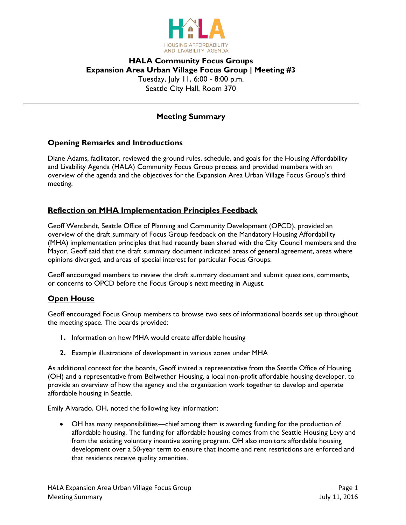

# **HALA Community Focus Groups Expansion Area Urban Village Focus Group | Meeting #3** Tuesday, July 11, 6:00 - 8:00 p.m. Seattle City Hall, Room 370

# **Meeting Summary**

### **Opening Remarks and Introductions**

Diane Adams, facilitator, reviewed the ground rules, schedule, and goals for the Housing Affordability and Livability Agenda (HALA) Community Focus Group process and provided members with an overview of the agenda and the objectives for the Expansion Area Urban Village Focus Group's third meeting.

### **Reflection on MHA Implementation Principles Feedback**

Geoff Wentlandt, Seattle Office of Planning and Community Development (OPCD), provided an overview of the draft summary of Focus Group feedback on the Mandatory Housing Affordability (MHA) implementation principles that had recently been shared with the City Council members and the Mayor. Geoff said that the draft summary document indicated areas of general agreement, areas where opinions diverged, and areas of special interest for particular Focus Groups.

Geoff encouraged members to review the draft summary document and submit questions, comments, or concerns to OPCD before the Focus Group's next meeting in August.

### **Open House**

Geoff encouraged Focus Group members to browse two sets of informational boards set up throughout the meeting space. The boards provided:

- **1.** Information on how MHA would create affordable housing
- **2.** Example illustrations of development in various zones under MHA

As additional context for the boards, Geoff invited a representative from the Seattle Office of Housing (OH) and a representative from Bellwether Housing, a local non-profit affordable housing developer, to provide an overview of how the agency and the organization work together to develop and operate affordable housing in Seattle.

Emily Alvarado, OH, noted the following key information:

 OH has many responsibilities—chief among them is awarding funding for the production of affordable housing. The funding for affordable housing comes from the Seattle Housing Levy and from the existing voluntary incentive zoning program. OH also monitors affordable housing development over a 50-year term to ensure that income and rent restrictions are enforced and that residents receive quality amenities.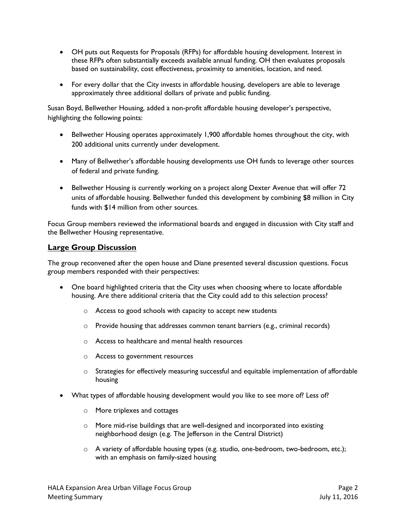- OH puts out Requests for Proposals (RFPs) for affordable housing development. Interest in these RFPs often substantially exceeds available annual funding. OH then evaluates proposals based on sustainability, cost effectiveness, proximity to amenities, location, and need.
- For every dollar that the City invests in affordable housing, developers are able to leverage approximately three additional dollars of private and public funding.

Susan Boyd, Bellwether Housing, added a non-profit affordable housing developer's perspective, highlighting the following points:

- Bellwether Housing operates approximately 1,900 affordable homes throughout the city, with 200 additional units currently under development.
- Many of Bellwether's affordable housing developments use OH funds to leverage other sources of federal and private funding.
- Bellwether Housing is currently working on a project along Dexter Avenue that will offer 72 units of affordable housing. Bellwether funded this development by combining \$8 million in City funds with \$14 million from other sources.

Focus Group members reviewed the informational boards and engaged in discussion with City staff and the Bellwether Housing representative.

### **Large Group Discussion**

The group reconvened after the open house and Diane presented several discussion questions. Focus group members responded with their perspectives:

- One board highlighted criteria that the City uses when choosing where to locate affordable housing. Are there additional criteria that the City could add to this selection process?
	- o Access to good schools with capacity to accept new students
	- $\circ$  Provide housing that addresses common tenant barriers (e.g., criminal records)
	- o Access to healthcare and mental health resources
	- o Access to government resources
	- $\circ$  Strategies for effectively measuring successful and equitable implementation of affordable housing
- What types of affordable housing development would you like to see more of? Less of?
	- o More triplexes and cottages
	- o More mid-rise buildings that are well-designed and incorporated into existing neighborhood design (e.g. The Jefferson in the Central District)
	- $\circ$  A variety of affordable housing types (e.g. studio, one-bedroom, two-bedroom, etc.); with an emphasis on family-sized housing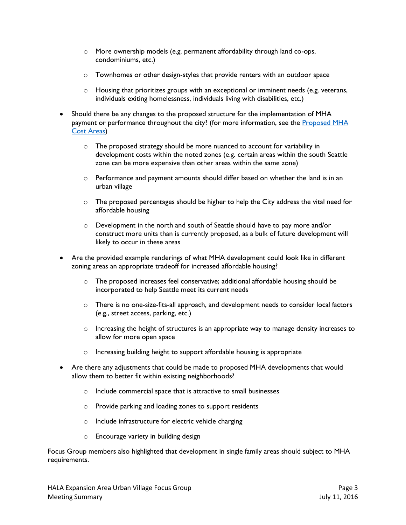- o More ownership models (e.g. permanent affordability through land co-ops, condominiums, etc.)
- o Townhomes or other design-styles that provide renters with an outdoor space
- $\circ$  Housing that prioritizes groups with an exceptional or imminent needs (e.g. veterans, individuals exiting homelessness, individuals living with disabilities, etc.)
- Should there be any changes to the proposed structure for the implementation of MHA payment or performance throughout the city? (for more information, see the Proposed MHA [Cost Areas\)](http://www.seattle.gov/Documents/Departments/HALA/FocusGroups/July/July_FG_Boards_AffHousing.pdf#page=5)
	- $\circ$  The proposed strategy should be more nuanced to account for variability in development costs within the noted zones (e.g. certain areas within the south Seattle zone can be more expensive than other areas within the same zone)
	- o Performance and payment amounts should differ based on whether the land is in an urban village
	- $\circ$  The proposed percentages should be higher to help the City address the vital need for affordable housing
	- o Development in the north and south of Seattle should have to pay more and/or construct more units than is currently proposed, as a bulk of future development will likely to occur in these areas
- Are the provided example renderings of what MHA development could look like in different zoning areas an appropriate tradeoff for increased affordable housing?
	- $\circ$  The proposed increases feel conservative; additional affordable housing should be incorporated to help Seattle meet its current needs
	- o There is no one-size-fits-all approach, and development needs to consider local factors (e.g., street access, parking, etc.)
	- $\circ$  Increasing the height of structures is an appropriate way to manage density increases to allow for more open space
	- o Increasing building height to support affordable housing is appropriate
- Are there any adjustments that could be made to proposed MHA developments that would allow them to better fit within existing neighborhoods?
	- o Include commercial space that is attractive to small businesses
	- o Provide parking and loading zones to support residents
	- o Include infrastructure for electric vehicle charging
	- o Encourage variety in building design

Focus Group members also highlighted that development in single family areas should subject to MHA requirements.